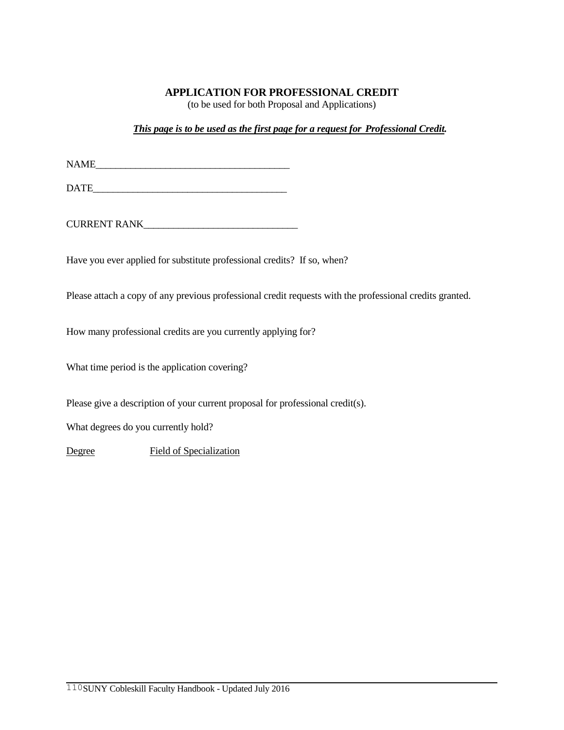## **APPLICATION FOR PROFESSIONAL CREDIT**

(to be used for both Proposal and Applications)

*This page is to be used as the first page for a request for Professional Credit.*

 $NAME$ 

DATE\_\_\_\_\_\_\_\_\_\_\_\_\_\_\_\_\_\_\_\_\_\_\_\_\_\_\_\_\_\_\_\_\_\_\_\_\_\_\_

CURRENT RANK

Have you ever applied for substitute professional credits? If so, when?

Please attach a copy of any previous professional credit requests with the professional credits granted.

How many professional credits are you currently applying for?

What time period is the application covering?

Please give a description of your current proposal for professional credit(s).

What degrees do you currently hold?

Degree Field of Specialization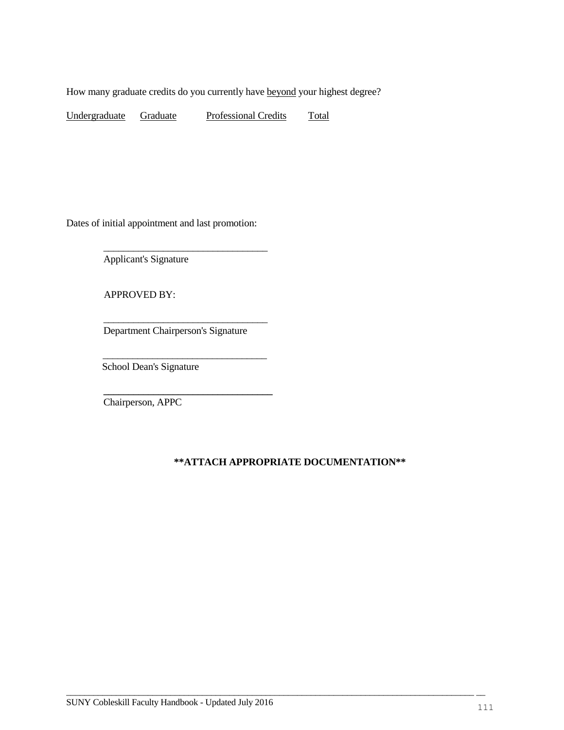How many graduate credits do you currently have beyond your highest degree?

Undergraduate Graduate Professional Credits Total

Dates of initial appointment and last promotion:

Applicant's Signature

APPROVED BY:

Department Chairperson's Signature

 $\mathcal{L}_\text{max} = \frac{1}{2} \sum_{i=1}^{n} \frac{1}{2} \sum_{i=1}^{n} \frac{1}{2} \sum_{i=1}^{n} \frac{1}{2} \sum_{i=1}^{n} \frac{1}{2} \sum_{i=1}^{n} \frac{1}{2} \sum_{i=1}^{n} \frac{1}{2} \sum_{i=1}^{n} \frac{1}{2} \sum_{i=1}^{n} \frac{1}{2} \sum_{i=1}^{n} \frac{1}{2} \sum_{i=1}^{n} \frac{1}{2} \sum_{i=1}^{n} \frac{1}{2} \sum_{i=1}^{n} \frac{1$ 

\_\_\_\_\_\_\_\_\_\_\_\_\_\_\_\_\_\_\_\_\_\_\_\_\_\_\_\_\_\_\_\_\_

**\_\_\_\_\_\_\_\_\_\_\_\_\_\_\_\_\_\_\_\_\_\_\_\_\_\_\_\_\_\_\_\_\_\_**

\_\_\_\_\_\_\_\_\_\_\_\_\_\_\_\_\_\_\_\_\_\_\_\_\_\_\_\_\_\_\_\_\_

School Dean's Signature

Chairperson, APPC

## **\*\*ATTACH APPROPRIATE DOCUMENTATION\*\***

 $\overline{\phantom{a}}$  , and the contribution of the contribution of the contribution of the contribution of the contribution of the contribution of the contribution of the contribution of the contribution of the contribution of the